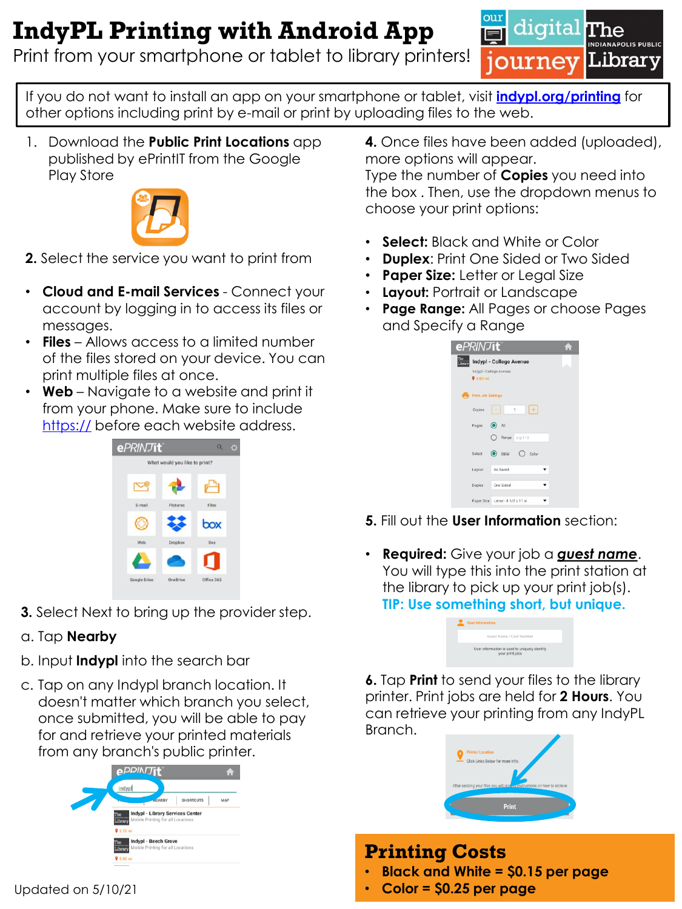## **IndyPL Printing with Android App**

Print from your smartphone or tablet to library printers!



If you do not want to install an app on your smartphone or tablet, visit **[indypl.org/printing](http://indypl.org/printing)** for other options including print by e-mail or print by uploading files to the web.

1. Download the **Public Print Locations** app published by ePrintIT from the Google Play Store



- **2.** Select the service you want to print from
- **Cloud and E-mail Services** Connect your account by logging in to access its files or messages.
- **Files**  Allows access to a limited number of the files stored on your device. You can print multiple files at once.
- **Web** Navigate to a website and print it from your phone. Make sure to include <https://> before each website address.



**3.** Select Next to bring up the provider step.

#### a. Tap **Nearby**

- b. Input **Indypl** into the search bar
- c. Tap on any Indypl branch location. It doesn't matter which branch you select, once submitted, you will be able to pay for and retrieve your printed materials from any branch's public printer.



**4.** Once files have been added (uploaded), more options will appear.

Type the number of **Copies** you need into the box . Then, use the dropdown menus to choose your print options:

- **Select:** Black and White or Color
- **Duplex**: Print One Sided or Two Sided
- **Paper Size:** Letter or Legal Size
- **Layout:** Portrait or Landscape
- **Page Range:** All Pages or choose Pages and Specify a Range

| <b>ePRINTIt</b><br><b>TOM</b> |                                                    |  |
|-------------------------------|----------------------------------------------------|--|
| <b>Jhrun</b><br>$9.5.83$ mi   | Indypl - College Avenue<br>Indypl - College Avenue |  |
| m                             | Print Job Settings                                 |  |
| Copies                        | $\mathbf{1}$                                       |  |
| Pages:                        | $\odot$ All<br>$\bigcap$ Range $a \cdot 1 - 3$     |  |
| Select                        | $\odot$ BEW<br>$()$ Color                          |  |
| Layout                        | As Sayed                                           |  |
| <b>Duplex</b>                 | One Sided                                          |  |
|                               | Paper Size Letter - 8 1/2 x 11 in                  |  |

- **5.** Fill out the **User Information** section:
- **Required:** Give your job a *guest name*. You will type this into the print station at the library to pick up your print job(s). **TIP: Use something short, but unique.**

| <b>User Information</b>                                          |
|------------------------------------------------------------------|
| Guest Name / Card Number                                         |
| User information is used to uniquely identify<br>your print jobs |

**6.** Tap **Print** to send your files to the library printer. Print jobs are held for **2 Hours**. You can retrieve your printing from any IndyPL Branch.



### **Printing Costs**

- **Black and White = \$0.15 per page**
- **Color = \$0.25 per page**

Updated on 5/10/21